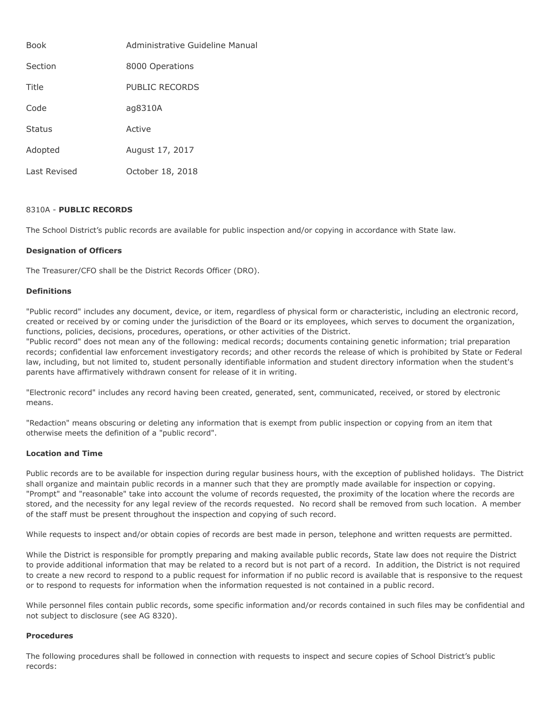| <b>Book</b>   | Administrative Guideline Manual |
|---------------|---------------------------------|
| Section       | 8000 Operations                 |
| Title         | PUBLIC RECORDS                  |
| Code          | ag8310A                         |
| <b>Status</b> | Active                          |
| Adopted       | August 17, 2017                 |
| Last Revised  | October 18, 2018                |

# 8310A - **PUBLIC RECORDS**

The School District's public records are available for public inspection and/or copying in accordance with State law.

### **Designation of Officers**

The Treasurer/CFO shall be the District Records Officer (DRO).

### **Definitions**

"Public record" includes any document, device, or item, regardless of physical form or characteristic, including an electronic record, created or received by or coming under the jurisdiction of the Board or its employees, which serves to document the organization, functions, policies, decisions, procedures, operations, or other activities of the District.

"Public record" does not mean any of the following: medical records; documents containing genetic information; trial preparation records; confidential law enforcement investigatory records; and other records the release of which is prohibited by State or Federal law, including, but not limited to, student personally identifiable information and student directory information when the student's parents have affirmatively withdrawn consent for release of it in writing.

"Electronic record" includes any record having been created, generated, sent, communicated, received, or stored by electronic means.

"Redaction" means obscuring or deleting any information that is exempt from public inspection or copying from an item that otherwise meets the definition of a "public record".

### **Location and Time**

Public records are to be available for inspection during regular business hours, with the exception of published holidays. The District shall organize and maintain public records in a manner such that they are promptly made available for inspection or copying. "Prompt" and "reasonable" take into account the volume of records requested, the proximity of the location where the records are stored, and the necessity for any legal review of the records requested. No record shall be removed from such location. A member of the staff must be present throughout the inspection and copying of such record.

While requests to inspect and/or obtain copies of records are best made in person, telephone and written requests are permitted.

While the District is responsible for promptly preparing and making available public records, State law does not require the District to provide additional information that may be related to a record but is not part of a record. In addition, the District is not required to create a new record to respond to a public request for information if no public record is available that is responsive to the request or to respond to requests for information when the information requested is not contained in a public record.

While personnel files contain public records, some specific information and/or records contained in such files may be confidential and not subject to disclosure (see AG 8320).

### **Procedures**

The following procedures shall be followed in connection with requests to inspect and secure copies of School District's public records: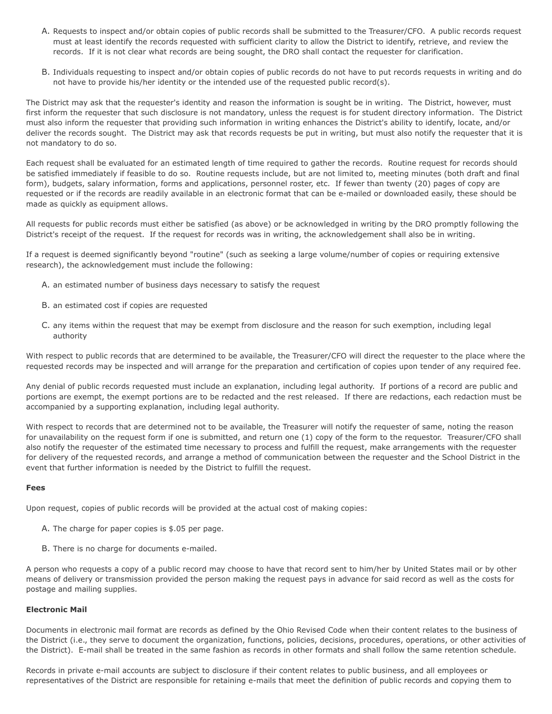- A. Requests to inspect and/or obtain copies of public records shall be submitted to the Treasurer/CFO. A public records request must at least identify the records requested with sufficient clarity to allow the District to identify, retrieve, and review the records. If it is not clear what records are being sought, the DRO shall contact the requester for clarification.
- B. Individuals requesting to inspect and/or obtain copies of public records do not have to put records requests in writing and do not have to provide his/her identity or the intended use of the requested public record(s).

The District may ask that the requester's identity and reason the information is sought be in writing. The District, however, must first inform the requester that such disclosure is not mandatory, unless the request is for student directory information. The District must also inform the requester that providing such information in writing enhances the District's ability to identify, locate, and/or deliver the records sought. The District may ask that records requests be put in writing, but must also notify the requester that it is not mandatory to do so.

Each request shall be evaluated for an estimated length of time required to gather the records. Routine request for records should be satisfied immediately if feasible to do so. Routine requests include, but are not limited to, meeting minutes (both draft and final form), budgets, salary information, forms and applications, personnel roster, etc. If fewer than twenty (20) pages of copy are requested or if the records are readily available in an electronic format that can be e-mailed or downloaded easily, these should be made as quickly as equipment allows.

All requests for public records must either be satisfied (as above) or be acknowledged in writing by the DRO promptly following the District's receipt of the request. If the request for records was in writing, the acknowledgement shall also be in writing.

If a request is deemed significantly beyond "routine" (such as seeking a large volume/number of copies or requiring extensive research), the acknowledgement must include the following:

- A. an estimated number of business days necessary to satisfy the request
- B. an estimated cost if copies are requested
- C. any items within the request that may be exempt from disclosure and the reason for such exemption, including legal authority

With respect to public records that are determined to be available, the Treasurer/CFO will direct the requester to the place where the requested records may be inspected and will arrange for the preparation and certification of copies upon tender of any required fee.

Any denial of public records requested must include an explanation, including legal authority. If portions of a record are public and portions are exempt, the exempt portions are to be redacted and the rest released. If there are redactions, each redaction must be accompanied by a supporting explanation, including legal authority.

With respect to records that are determined not to be available, the Treasurer will notify the requester of same, noting the reason for unavailability on the request form if one is submitted, and return one (1) copy of the form to the requestor. Treasurer/CFO shall also notify the requester of the estimated time necessary to process and fulfill the request, make arrangements with the requester for delivery of the requested records, and arrange a method of communication between the requester and the School District in the event that further information is needed by the District to fulfill the request.

### **Fees**

Upon request, copies of public records will be provided at the actual cost of making copies:

- A. The charge for paper copies is \$.05 per page.
- B. There is no charge for documents e-mailed.

A person who requests a copy of a public record may choose to have that record sent to him/her by United States mail or by other means of delivery or transmission provided the person making the request pays in advance for said record as well as the costs for postage and mailing supplies.

## **Electronic Mail**

Documents in electronic mail format are records as defined by the Ohio Revised Code when their content relates to the business of the District (i.e., they serve to document the organization, functions, policies, decisions, procedures, operations, or other activities of the District). E-mail shall be treated in the same fashion as records in other formats and shall follow the same retention schedule.

Records in private e-mail accounts are subject to disclosure if their content relates to public business, and all employees or representatives of the District are responsible for retaining e-mails that meet the definition of public records and copying them to